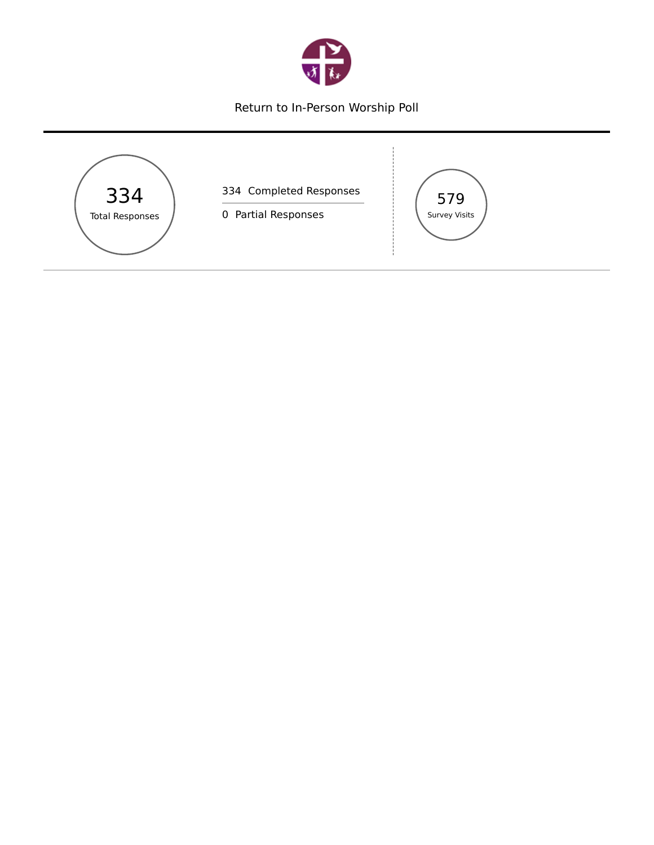

## Return to In-Person Worship Poll

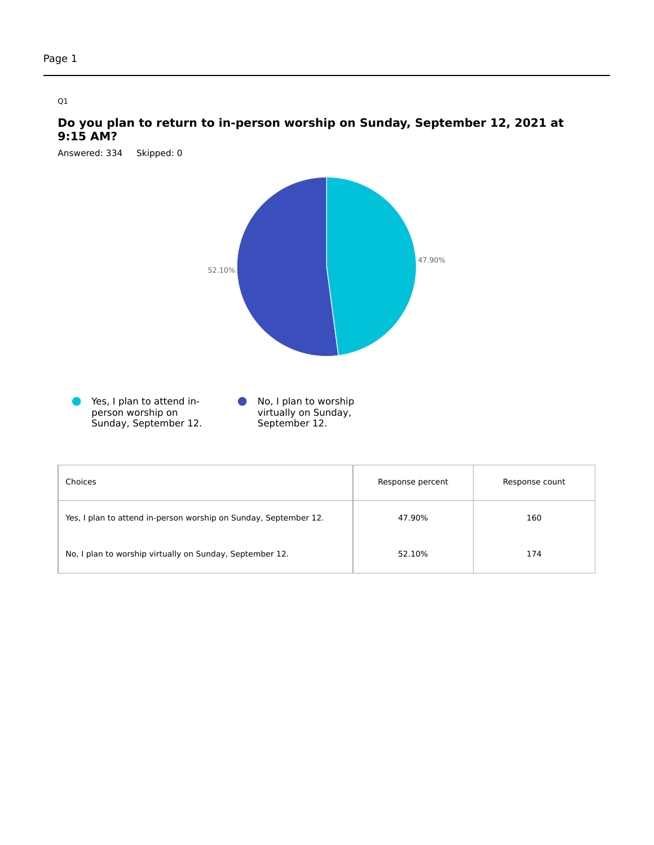## **Do you plan to return to in-person worship on Sunday, September 12, 2021 at 9:15 AM?**

Answered: 334 Skipped: 0

Sunday, September 12.



September 12.

| Choices                                                          | Response percent | Response count |
|------------------------------------------------------------------|------------------|----------------|
| Yes, I plan to attend in-person worship on Sunday, September 12. | 47.90%           | 160            |
| No, I plan to worship virtually on Sunday, September 12.         | 52.10%           | 174            |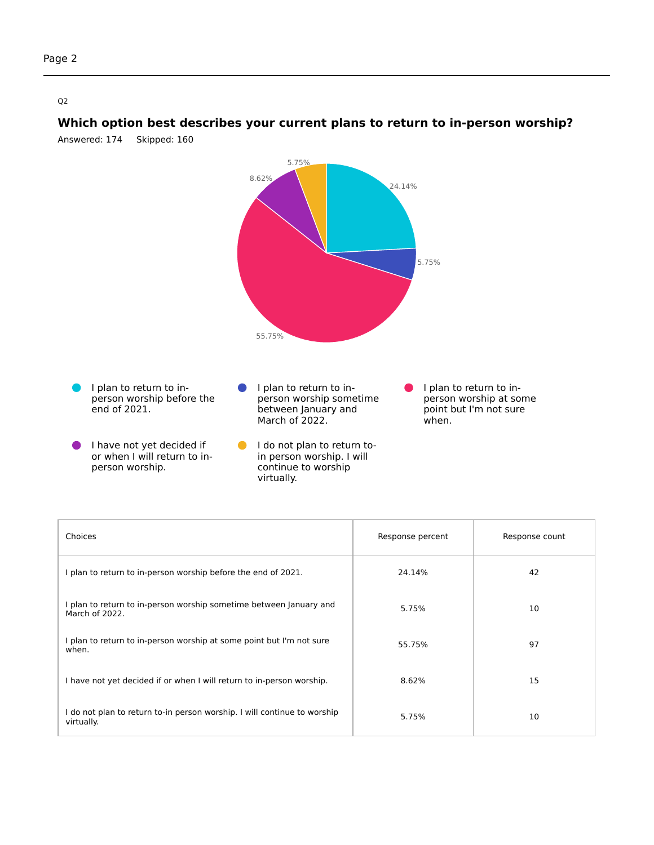

**Which option best describes your current plans to return to in-person worship?**

Answered: 174 Skipped: 160

| Choices                                                                                | Response percent | Response count |
|----------------------------------------------------------------------------------------|------------------|----------------|
| I plan to return to in-person worship before the end of 2021.                          | 24.14%           | 42             |
| I plan to return to in-person worship sometime between January and<br>March of 2022.   | 5.75%            | 10             |
| I plan to return to in-person worship at some point but I'm not sure<br>when.          | 55.75%           | 97             |
| I have not yet decided if or when I will return to in-person worship.                  | 8.62%            | 15             |
| I do not plan to return to-in person worship. I will continue to worship<br>virtually. | 5.75%            | 10             |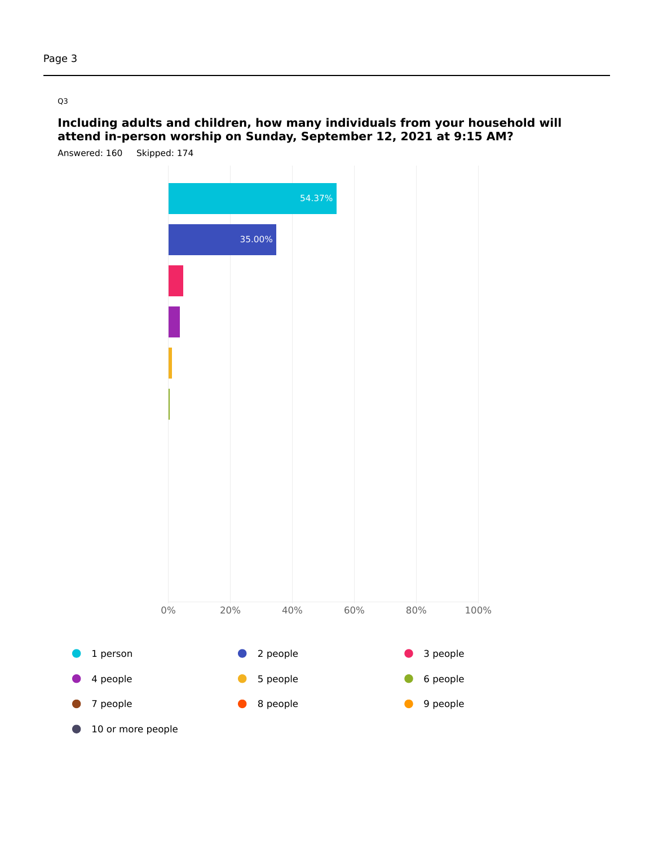## **Including adults and children, how many individuals from your household will attend in-person worship on Sunday, September 12, 2021 at 9:15 AM?**

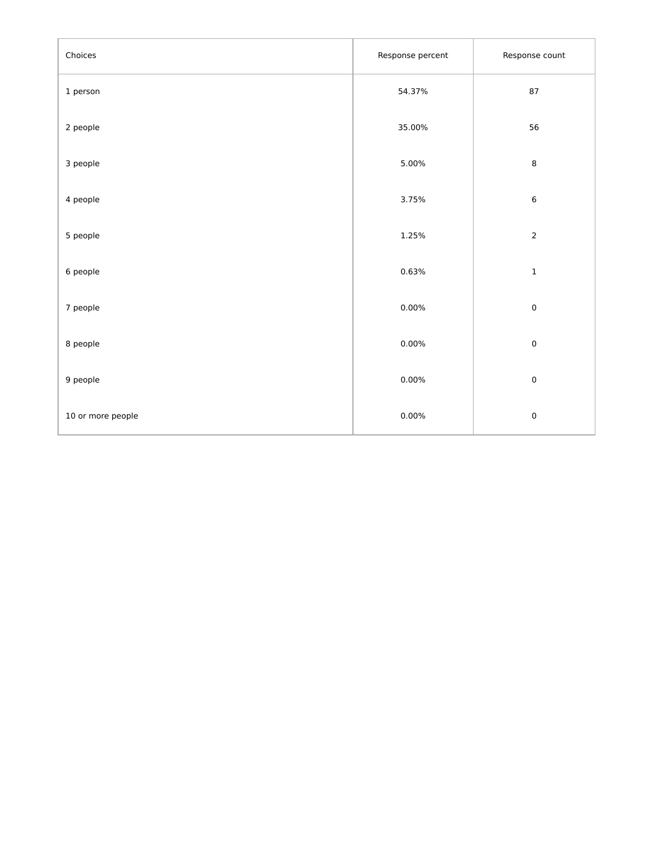| Choices           | Response percent | Response count |
|-------------------|------------------|----------------|
| 1 person          | 54.37%           | 87             |
| 2 people          | 35.00%           | 56             |
| 3 people          | 5.00%            | $\,$ 8 $\,$    |
| 4 people          | 3.75%            | $\,6\,$        |
| 5 people          | 1.25%            | $\overline{2}$ |
| 6 people          | 0.63%            | $\mathbf 1$    |
| 7 people          | $0.00\%$         | $\pmb{0}$      |
| 8 people          | $0.00\%$         | $\pmb{0}$      |
| 9 people          | $0.00\%$         | $\pmb{0}$      |
| 10 or more people | 0.00%            | $\pmb{0}$      |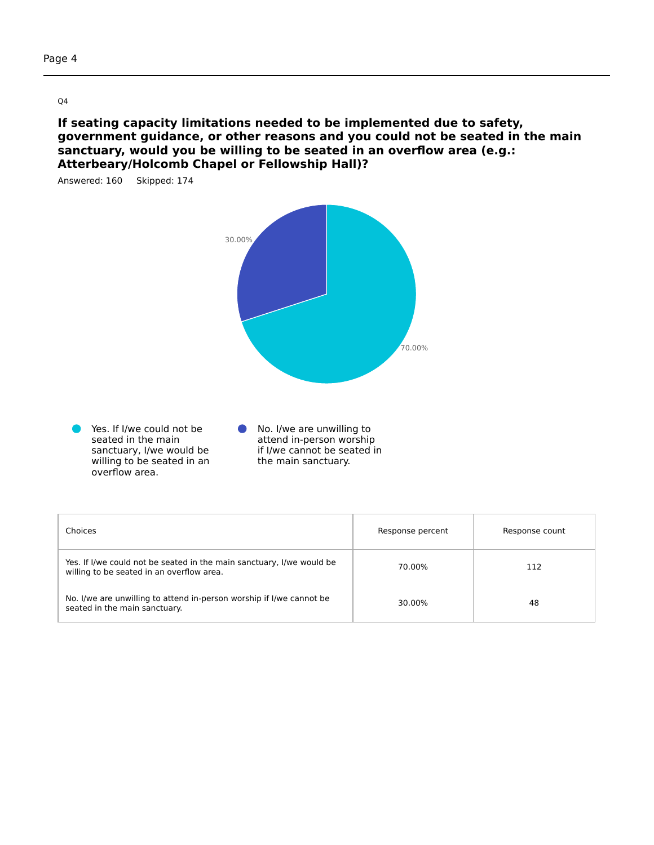**If seating capacity limitations needed to be implemented due to safety, government guidance, or other reasons and you could not be seated in the main sanctuary, would you be willing to be seated in an overflow area (e.g.: Atterbeary/Holcomb Chapel or Fellowship Hall)?**



| Choices                                                                                                            | Response percent | Response count |
|--------------------------------------------------------------------------------------------------------------------|------------------|----------------|
| Yes. If I/we could not be seated in the main sanctuary, I/we would be<br>willing to be seated in an overflow area. | 70.00%           | 112            |
| No. I/we are unwilling to attend in-person worship if I/we cannot be<br>seated in the main sanctuary.              | 30.00%           | 48             |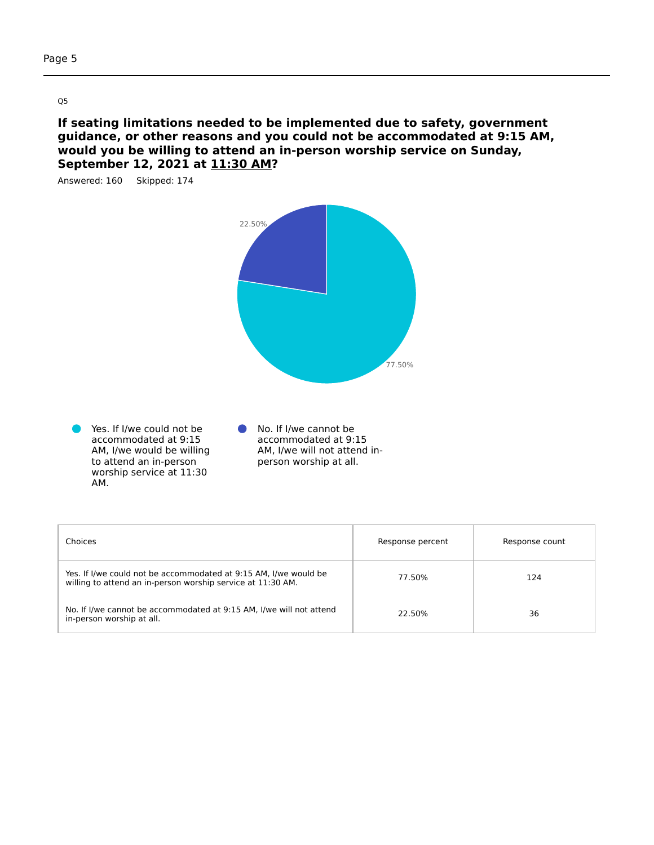**If seating limitations needed to be implemented due to safety, government guidance, or other reasons and you could not be accommodated at 9:15 AM, would you be willing to attend an in-person worship service on Sunday, September 12, 2021 at 11:30 AM?**



| Choices                                                                                                                         | Response percent | Response count |
|---------------------------------------------------------------------------------------------------------------------------------|------------------|----------------|
| Yes. If I/we could not be accommodated at 9:15 AM, I/we would be<br>willing to attend an in-person worship service at 11:30 AM. | 77.50%           | 124            |
| No. If I/we cannot be accommodated at 9:15 AM, I/we will not attend<br>in-person worship at all.                                | 22.50%           | 36             |